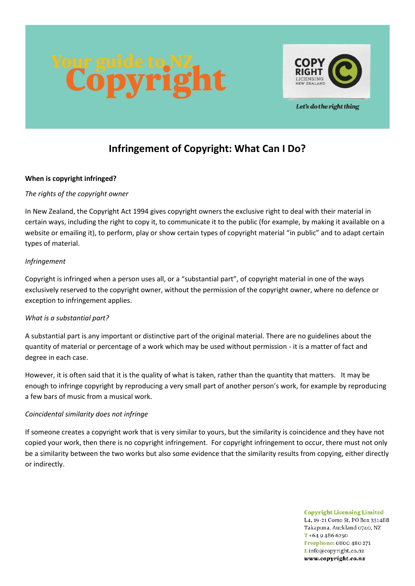



# Let's do the right thing

# **Infringement of Copyright: What Can I Do?**

#### **When is copyright infringed?**

# *The rights of the copyright owner*

In New Zealand, the Copyright Act 1994 gives copyright owners the exclusive right to deal with their material in certain ways, including the right to copy it, to communicate it to the public (for example, by making it available on a website or emailing it), to perform, play or show certain types of copyright material "in public" and to adapt certain types of material.

# *Infringement*

Copyright is infringed when a person uses all, or a "substantial part", of copyright material in one of the ways exclusively reserved to the copyright owner, without the permission of the copyright owner, where no defence or exception to infringement applies.

# *What is a substantial part?*

A substantial part is any important or distinctive part of the original material. There are no guidelines about the quantity of material or percentage of a work which may be used without permission - it is a matter of fact and degree in each case.

However, it is often said that it is the quality of what is taken, rather than the quantity that matters. It may be enough to infringe copyright by reproducing a very small part of another person's work, for example by reproducing a few bars of music from a musical work.

# *Coincidental similarity does not infringe*

If someone creates a copyright work that is very similar to yours, but the similarity is coincidence and they have not copied your work, then there is no copyright infringement. For copyright infringement to occur, there must not only be a similarity between the two works but also some evidence that the similarity results from copying, either directly or indirectly.

> **Copyright Licensing Limited** L4, 19-21 Como St, PO Box 331488, Takapuna, Auckland 0740, NZ  $T + 6494866250$ Freephone: 0800 480 271 Einfo@copyright.co.nz www.copyright.co.nz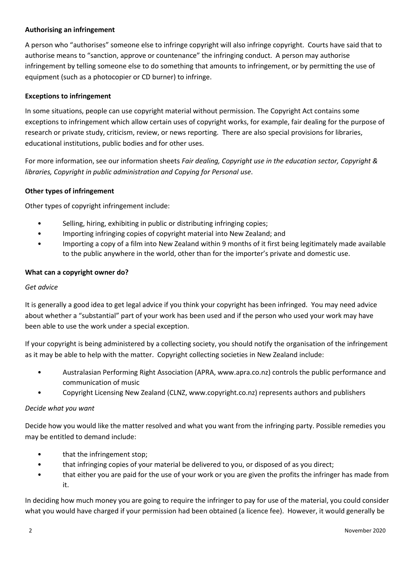# **Authorising an infringement**

A person who "authorises" someone else to infringe copyright will also infringe copyright. Courts have said that to authorise means to "sanction, approve or countenance" the infringing conduct. A person may authorise infringement by telling someone else to do something that amounts to infringement, or by permitting the use of equipment (such as a photocopier or CD burner) to infringe.

#### **Exceptions to infringement**

In some situations, people can use copyright material without permission. The Copyright Act contains some exceptions to infringement which allow certain uses of copyright works, for example, fair dealing for the purpose of research or private study, criticism, review, or news reporting. There are also special provisions for libraries, educational institutions, public bodies and for other uses.

For more information, see our information sheets *Fair dealing, Copyright use in the education sector, Copyright & libraries, Copyright in public administration and Copying for Personal use*.

# **Other types of infringement**

Other types of copyright infringement include:

- Selling, hiring, exhibiting in public or distributing infringing copies;
- Importing infringing copies of copyright material into New Zealand; and
- Importing a copy of a film into New Zealand within 9 months of it first being legitimately made available to the public anywhere in the world, other than for the importer's private and domestic use.

# **What can a copyright owner do?**

#### *Get advice*

It is generally a good idea to get legal advice if you think your copyright has been infringed. You may need advice about whether a "substantial" part of your work has been used and if the person who used your work may have been able to use the work under a special exception.

If your copyright is being administered by a collecting society, you should notify the organisation of the infringement as it may be able to help with the matter. Copyright collecting societies in New Zealand include:

- Australasian Performing Right Association (APRA, www.apra.co.nz) controls the public performance and communication of music
- Copyright Licensing New Zealand (CLNZ, www.copyright.co.nz) represents authors and publishers

#### *Decide what you want*

Decide how you would like the matter resolved and what you want from the infringing party. Possible remedies you may be entitled to demand include:

- that the infringement stop;
- that infringing copies of your material be delivered to you, or disposed of as you direct;
- that either you are paid for the use of your work or you are given the profits the infringer has made from it.

In deciding how much money you are going to require the infringer to pay for use of the material, you could consider what you would have charged if your permission had been obtained (a licence fee). However, it would generally be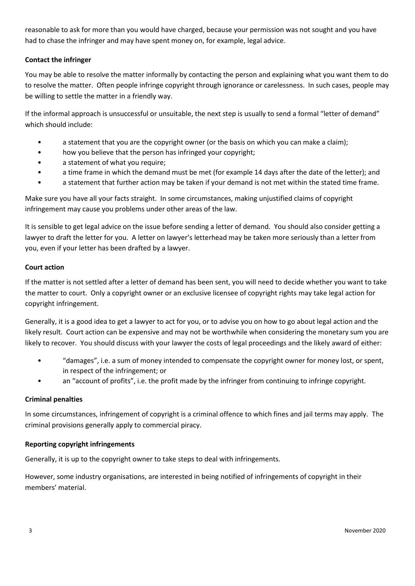reasonable to ask for more than you would have charged, because your permission was not sought and you have had to chase the infringer and may have spent money on, for example, legal advice.

# **Contact the infringer**

You may be able to resolve the matter informally by contacting the person and explaining what you want them to do to resolve the matter. Often people infringe copyright through ignorance or carelessness. In such cases, people may be willing to settle the matter in a friendly way.

If the informal approach is unsuccessful or unsuitable, the next step is usually to send a formal "letter of demand" which should include:

- a statement that you are the copyright owner (or the basis on which you can make a claim);
- how you believe that the person has infringed your copyright;
- a statement of what you require;
- a time frame in which the demand must be met (for example 14 days after the date of the letter); and
- a statement that further action may be taken if your demand is not met within the stated time frame.

Make sure you have all your facts straight. In some circumstances, making unjustified claims of copyright infringement may cause you problems under other areas of the law.

It is sensible to get legal advice on the issue before sending a letter of demand. You should also consider getting a lawyer to draft the letter for you. A letter on lawyer's letterhead may be taken more seriously than a letter from you, even if your letter has been drafted by a lawyer.

# **Court action**

If the matter is not settled after a letter of demand has been sent, you will need to decide whether you want to take the matter to court. Only a copyright owner or an exclusive licensee of copyright rights may take legal action for copyright infringement.

Generally, it is a good idea to get a lawyer to act for you, or to advise you on how to go about legal action and the likely result. Court action can be expensive and may not be worthwhile when considering the monetary sum you are likely to recover. You should discuss with your lawyer the costs of legal proceedings and the likely award of either:

- "damages", i.e. a sum of money intended to compensate the copyright owner for money lost, or spent, in respect of the infringement; or
- an "account of profits", i.e. the profit made by the infringer from continuing to infringe copyright.

#### **Criminal penalties**

In some circumstances, infringement of copyright is a criminal offence to which fines and jail terms may apply. The criminal provisions generally apply to commercial piracy.

#### **Reporting copyright infringements**

Generally, it is up to the copyright owner to take steps to deal with infringements.

However, some industry organisations, are interested in being notified of infringements of copyright in their members' material.